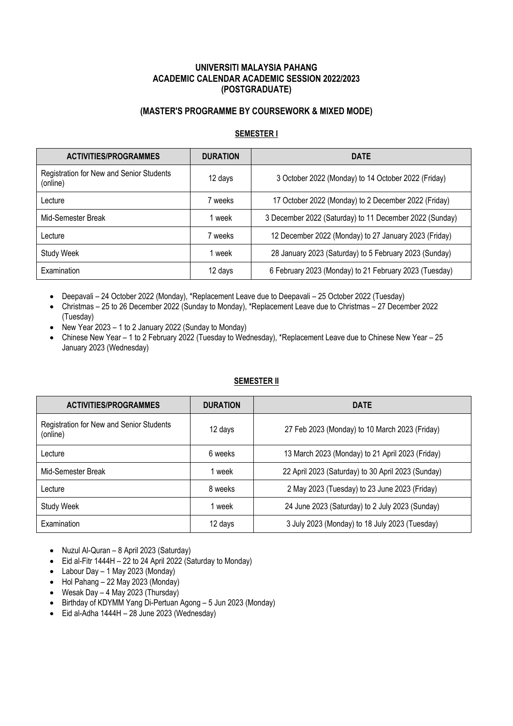## **UNIVERSITI MALAYSIA PAHANG ACADEMIC CALENDAR ACADEMIC SESSION 2022/2023 (POSTGRADUATE)**

## **(MASTER'S PROGRAMME BY COURSEWORK & MIXED MODE)**

### **SEMESTER I**

| <b>ACTIVITIES/PROGRAMMES</b>                         | <b>DURATION</b> | <b>DATE</b>                                             |
|------------------------------------------------------|-----------------|---------------------------------------------------------|
| Registration for New and Senior Students<br>(online) | 12 days         | 3 October 2022 (Monday) to 14 October 2022 (Friday)     |
| Lecture                                              | 7 weeks         | 17 October 2022 (Monday) to 2 December 2022 (Friday)    |
| Mid-Semester Break                                   | 1 week          | 3 December 2022 (Saturday) to 11 December 2022 (Sunday) |
| Lecture                                              | 7 weeks         | 12 December 2022 (Monday) to 27 January 2023 (Friday)   |
| <b>Study Week</b>                                    | 1 week          | 28 January 2023 (Saturday) to 5 February 2023 (Sunday)  |
| Examination                                          | 12 days         | 6 February 2023 (Monday) to 21 February 2023 (Tuesday)  |

- Deepavali 24 October 2022 (Monday), \*Replacement Leave due to Deepavali 25 October 2022 (Tuesday)
- Christmas 25 to 26 December 2022 (Sunday to Monday), \*Replacement Leave due to Christmas 27 December 2022 (Tuesday)
- New Year 2023 1 to 2 January 2022 (Sunday to Monday)
- Chinese New Year 1 to 2 February 2022 (Tuesday to Wednesday), \*Replacement Leave due to Chinese New Year 25 January 2023 (Wednesday)

#### **SEMESTER II**

| <b>ACTIVITIES/PROGRAMMES</b>                         | <b>DURATION</b> | <b>DATE</b>                                        |
|------------------------------------------------------|-----------------|----------------------------------------------------|
| Registration for New and Senior Students<br>(online) | 12 days         | 27 Feb 2023 (Monday) to 10 March 2023 (Friday)     |
| Lecture                                              | 6 weeks         | 13 March 2023 (Monday) to 21 April 2023 (Friday)   |
| Mid-Semester Break                                   | 1 week          | 22 April 2023 (Saturday) to 30 April 2023 (Sunday) |
| Lecture                                              | 8 weeks         | 2 May 2023 (Tuesday) to 23 June 2023 (Friday)      |
| <b>Study Week</b>                                    | 1 week          | 24 June 2023 (Saturday) to 2 July 2023 (Sunday)    |
| Examination                                          | 12 days         | 3 July 2023 (Monday) to 18 July 2023 (Tuesday)     |

- Nuzul Al-Quran 8 April 2023 (Saturday)
- $\bullet$  Eid al-Fitr 1444H 22 to 24 April 2022 (Saturday to Monday)
- Labour Day 1 May 2023 (Monday)
- Hol Pahang 22 May 2023 (Monday)
- Wesak Day 4 May 2023 (Thursday)
- Birthday of KDYMM Yang Di-Pertuan Agong 5 Jun 2023 (Monday)
- Eid al-Adha 1444H 28 June 2023 (Wednesday)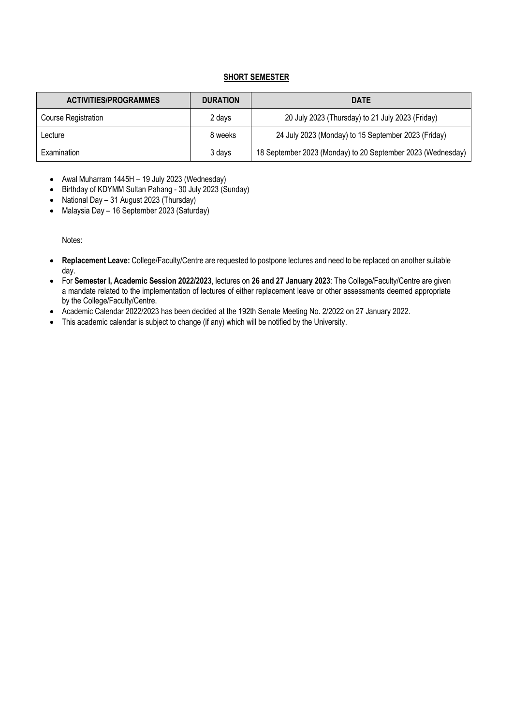## **SHORT SEMESTER**

| <b>ACTIVITIES/PROGRAMMES</b> | <b>DURATION</b> | <b>DATE</b>                                                 |
|------------------------------|-----------------|-------------------------------------------------------------|
| <b>Course Registration</b>   | 2 days          | 20 July 2023 (Thursday) to 21 July 2023 (Friday)            |
| Lecture                      | 8 weeks         | 24 July 2023 (Monday) to 15 September 2023 (Friday)         |
| Examination                  | 3 days          | 18 September 2023 (Monday) to 20 September 2023 (Wednesday) |

- Awal Muharram 1445H 19 July 2023 (Wednesday)
- Birthday of KDYMM Sultan Pahang 30 July 2023 (Sunday)
- National Day 31 August 2023 (Thursday)
- Malaysia Day 16 September 2023 (Saturday)

Notes:

- **Replacement Leave:** College/Faculty/Centre are requested to postpone lectures and need to be replaced on another suitable day.
- For **Semester I, Academic Session 2022/2023**, lectures on **26 and 27 January 2023**: The College/Faculty/Centre are given a mandate related to the implementation of lectures of either replacement leave or other assessments deemed appropriate by the College/Faculty/Centre.
- Academic Calendar 2022/2023 has been decided at the 192th Senate Meeting No. 2/2022 on 27 January 2022.
- This academic calendar is subject to change (if any) which will be notified by the University.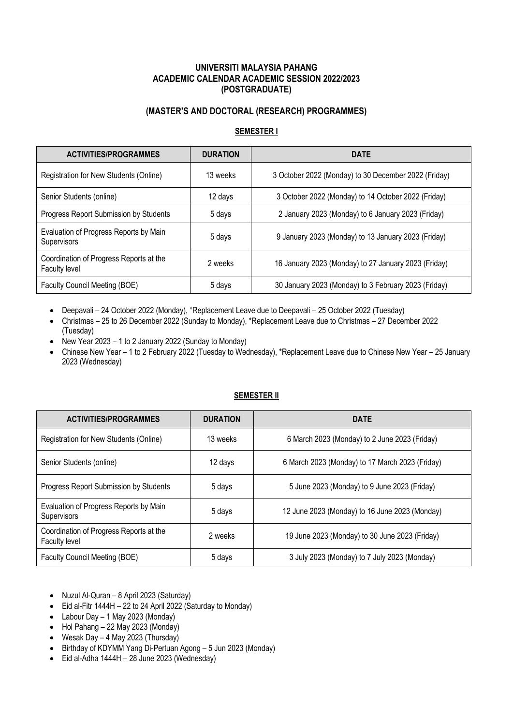## **UNIVERSITI MALAYSIA PAHANG ACADEMIC CALENDAR ACADEMIC SESSION 2022/2023 (POSTGRADUATE)**

# **(MASTER'S AND DOCTORAL (RESEARCH) PROGRAMMES)**

## **SEMESTER I**

| <b>ACTIVITIES/PROGRAMMES</b>                             | <b>DURATION</b> | <b>DATE</b>                                          |
|----------------------------------------------------------|-----------------|------------------------------------------------------|
| Registration for New Students (Online)                   | 13 weeks        | 3 October 2022 (Monday) to 30 December 2022 (Friday) |
| Senior Students (online)                                 | 12 days         | 3 October 2022 (Monday) to 14 October 2022 (Friday)  |
| Progress Report Submission by Students                   | 5 days          | 2 January 2023 (Monday) to 6 January 2023 (Friday)   |
| Evaluation of Progress Reports by Main<br>Supervisors    | 5 days          | 9 January 2023 (Monday) to 13 January 2023 (Friday)  |
| Coordination of Progress Reports at the<br>Faculty level | 2 weeks         | 16 January 2023 (Monday) to 27 January 2023 (Friday) |
| Faculty Council Meeting (BOE)                            | 5 days          | 30 January 2023 (Monday) to 3 February 2023 (Friday) |

- Deepavali 24 October 2022 (Monday), \*Replacement Leave due to Deepavali 25 October 2022 (Tuesday)
- Christmas 25 to 26 December 2022 (Sunday to Monday), \*Replacement Leave due to Christmas 27 December 2022 (Tuesday)
- New Year 2023 1 to 2 January 2022 (Sunday to Monday)
- Chinese New Year 1 to 2 February 2022 (Tuesday to Wednesday), \*Replacement Leave due to Chinese New Year 25 January 2023 (Wednesday)

### **SEMESTER II**

| <b>ACTIVITIES/PROGRAMMES</b>                                    | <b>DURATION</b> | <b>DATE</b>                                     |
|-----------------------------------------------------------------|-----------------|-------------------------------------------------|
| Registration for New Students (Online)                          | 13 weeks        | 6 March 2023 (Monday) to 2 June 2023 (Friday)   |
| Senior Students (online)                                        | 12 days         | 6 March 2023 (Monday) to 17 March 2023 (Friday) |
| <b>Progress Report Submission by Students</b>                   | 5 days          | 5 June 2023 (Monday) to 9 June 2023 (Friday)    |
| Evaluation of Progress Reports by Main<br><b>Supervisors</b>    | 5 days          | 12 June 2023 (Monday) to 16 June 2023 (Monday)  |
| Coordination of Progress Reports at the<br><b>Faculty level</b> | 2 weeks         | 19 June 2023 (Monday) to 30 June 2023 (Friday)  |
| Faculty Council Meeting (BOE)                                   | 5 days          | 3 July 2023 (Monday) to 7 July 2023 (Monday)    |

- Nuzul Al-Quran 8 April 2023 (Saturday)
- Eid al-Fitr 1444H 22 to 24 April 2022 (Saturday to Monday)
- Labour Day 1 May 2023 (Monday)
- Hol Pahang 22 May 2023 (Monday)
- Wesak Day 4 May 2023 (Thursday)
- Birthday of KDYMM Yang Di-Pertuan Agong 5 Jun 2023 (Monday)
- Eid al-Adha 1444H 28 June 2023 (Wednesday)